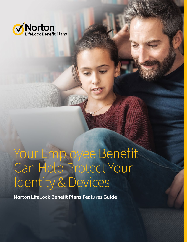

# Your Employee Benefit Can Help Protect Your Identity & Devices

**Norton LifeLock Benefit Plans Features Guide**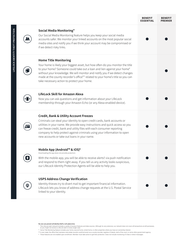|                                    |                                                                                                                                                                                                                                                                                                                                                                                                                     | <b>BENEFIT</b><br><b>ESSENTIAL</b> | <b>BENEFIT</b><br><b>PREMIER</b> |
|------------------------------------|---------------------------------------------------------------------------------------------------------------------------------------------------------------------------------------------------------------------------------------------------------------------------------------------------------------------------------------------------------------------------------------------------------------------|------------------------------------|----------------------------------|
| LIFELOCK IDENTITY THEFT PROTECTION | Social Media Monitoring*<br>Our Social Media Monitoring feature helps you keep your social media<br>accounts safer. We monitor your linked accounts on the most popular social<br>media sites and notify you if we think your account may be compromised or<br>if we detect risky links.                                                                                                                            |                                    |                                  |
|                                    | <b>Home Title Monitoring</b><br>Your home is likely your biggest asset, but how often do you monitor the title<br>to your home? Someone could take out a loan and lien against your home*<br>without your knowledge. We will monitor and notify you if we detect changes<br>made at the county recorder's office** related to your home's title so you can<br>take necessary action to protect your home.           |                                    |                                  |
|                                    | LifeLock Skill for Amazon Alexa<br>Now you can ask questions and get information about your LifeLock<br>membership through your Amazon Echo (or any Alexa-enabled device).                                                                                                                                                                                                                                          |                                    |                                  |
|                                    | <b>Credit, Bank &amp; Utility Account Freezes</b><br>Criminals can steal your identity to open credit cards, bank accounts or<br>utilities in your name. We provide easy instructions and quick access so you<br>can freeze credit, bank and utility files with each consumer reporting<br>company to help protect against criminals using your information to open<br>new accounts or take out loans in your name. |                                    |                                  |
|                                    | Mobile App (Android™ & iOS) <sup>§</sup><br>Downloading the app does not provide protection.<br>With the mobile app, you will be able to receive alerts† via push notification<br>and respond to them right away. If you tell us any activity looks suspicious,<br>our LifeLock Identity Protection Agents will be able to help you.                                                                                |                                    |                                  |
|                                    | <b>USPS Address Change Verification</b><br>Identity thieves try to divert mail to get important financial information.<br>LifeLock lets you know of address change requests at the U.S. Postal Service<br>linked to your identity.                                                                                                                                                                                  |                                    |                                  |

- No one can prevent all identity theft or all cybercrime.<br>"The LifeLock alert network includes a variety of product features and data sources. Although its very extensive, our network does not cover all transactions at all
- 
- 
-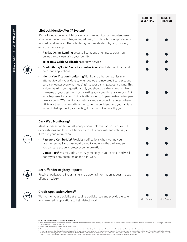|                                                                                                                                                                                                                                                                                                                                                                                                                                                                                                                                                                                                                                                                                                                              | <b>BENFFIT</b><br><b>FSSENTIAL</b> |  |
|------------------------------------------------------------------------------------------------------------------------------------------------------------------------------------------------------------------------------------------------------------------------------------------------------------------------------------------------------------------------------------------------------------------------------------------------------------------------------------------------------------------------------------------------------------------------------------------------------------------------------------------------------------------------------------------------------------------------------|------------------------------------|--|
| LifeLock Identity Alert™ System <sup>†</sup><br>It's the foundation for all LifeLock services. We monitor for fraudulent use of<br>your Social Security number, name, address, or date of birth in applications<br>for credit and services. The patented system sends alerts by text, phone <sup>tt</sup> ,<br>email, or mobile app.                                                                                                                                                                                                                                                                                                                                                                                         |                                    |  |
| Payday Online Lending detects if someone attempts to obtain an<br>$\bullet$<br>online payday loan using your identity.                                                                                                                                                                                                                                                                                                                                                                                                                                                                                                                                                                                                       |                                    |  |
| Telecom & Cable Applications for new service.<br>$\bullet$                                                                                                                                                                                                                                                                                                                                                                                                                                                                                                                                                                                                                                                                   |                                    |  |
| Credit Alerts/Social Security Number Alerts <sup>t</sup> include credit card and<br>$\bullet$<br>auto loan applications.                                                                                                                                                                                                                                                                                                                                                                                                                                                                                                                                                                                                     |                                    |  |
| Identity Verification Monitoring <sup>t</sup> Banks and other companies may<br>$\bullet$<br>attempt to verify your identity when you open a new credit card account,<br>get a car loan, or even when logging into your banking account online. This<br>is done by asking you questions only you should be able to answer, like<br>the name of your best friend or by texting you a one-time usage code. But<br>what happens if a cybercriminal is attempting to impersonate you to open<br>new accounts? We monitor our network and alert you if we detect a bank,<br>utility or other company attempting to verify your identity so you can take<br>action to help protect your identity, if this was not initiated by you. |                                    |  |
|                                                                                                                                                                                                                                                                                                                                                                                                                                                                                                                                                                                                                                                                                                                              |                                    |  |

## **Dark Web Monitoring§**

Identity thieves can buy or sell your personal information on hard-to-find dark web sites and forums. LifeLock patrols the dark web and notifies you if we find your information.

- **Password Combo List<sup>§</sup> Provides notifications when we find your** username/email and password paired together on the dark web so you can take action to protect your information.
- Gamer Tags<sup>§</sup> You may add up to 10 gamer tags in your portal, and we'll notify you if any are found on the dark web.



## **Sex Offender Registry Reports**

Receive notifications if your name and personal information appear in a sex offender registry.

# **Credit Application Alerts2§**

We monitor your credit file at a leading credit bureau and provide alerts for any new credit applications to help detect fraud. *One-Bureau One-Bureau*

**BENEFIT PREMIER**

#### No one can prevent all identity theft or all cybercrime.

- The LifeLock alert network includes a variety of product features and data sources. Although its very extensive, our network does not cover all transactions at all businesses, so you might not receive a LifeLock alert in every single case.
- ‡‡ Phone alerts made during normal local business hours.
- § These features are not enabled upon enrollment. Member must take action to get their protection. Does not include monitoring of chats or direct messages.
- f over plan includes One Bureau Credit Application Alerts, two requirements must be met to receive said features: (i) your identity must be successfully verified with TransUnion; and (ii) TransUnion<br>must be able to locate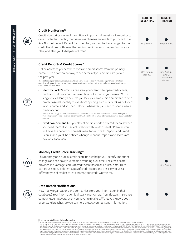

No one can prevent all identity theft or all cybercrime.

§ These features are not enabled upon enrollment. Member must take action to get their protection. Does not include monitoring of chats or direct messages.

f your plan includes credit reports, scores, and/or credit monitoring features ("Credit Features"), two requirements must be met to receisfully verified in the total of the form on the monitoring features in the role. We a NOT RECEIVE CREDIT FEATURES FROM ANY BUREAU. If your plan also includes Credit Features from Experian and/or TransUnion, the above verification process must also be successfully completed<br>with Experian and/or TransUnion, a several days to begin after your successful plan enrollment. Please note that in order to enjoy all features in your chosen plan, such as bank account alerts, credit monitoring, and credit reports, it may<br>require additiona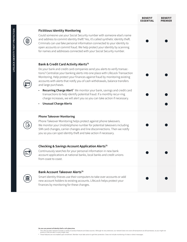|   |                                                                                                                                                                                                                                                                                                                                                                                                                                                                                                                                                                                                                                                                                               | <b>BENEFIT</b><br><b>ESSENTIAL</b> | <b>BENEFIT</b><br><b>PREMIER</b> |
|---|-----------------------------------------------------------------------------------------------------------------------------------------------------------------------------------------------------------------------------------------------------------------------------------------------------------------------------------------------------------------------------------------------------------------------------------------------------------------------------------------------------------------------------------------------------------------------------------------------------------------------------------------------------------------------------------------------|------------------------------------|----------------------------------|
|   | <b>Fictitious Identity Monitoring</b><br>Could someone use your Social Security number with someone else's name<br>and address to commit identity theft? Yes, it's called synthetic identity theft.<br>Criminals can use fake personal information connected to your identity to<br>open accounts or commit fraud. We help protect your identity by scanning<br>for names and addresses connected with your Social Security number.                                                                                                                                                                                                                                                           |                                    |                                  |
|   | Bank & Credit Card Activity Alerts <sup>t§</sup><br>Do your bank and credit card companies send you alerts to verify transac-<br>tions? Centralize your banking alerts into one place with LifeLock Transaction<br>Monitoring. Help protect your finances against fraud by monitoring existing<br>accounts with alerts that notify you of cash withdrawals, balance transfers<br>and large purchases.<br>Recurring Charge Alert <sup>†</sup> We monitor your bank, savings and credit card<br>transactions to help identify potential fraud. If a monthly recur-ring<br>charge increases, we will alert you so you can take action if necessary.<br><b>Unusual Charge Alerts</b><br>$\bullet$ |                                    |                                  |
|   | <b>Phone Takeover Monitoring</b><br>Phone Takeover Monitoring helps protect against phone takeovers.<br>We monitor your (mobile) phone number for potential takeovers including<br>SIM card changes, carrier changes and line disconnections. Then we notify<br>you so you can spot identity theft and take action if necessary.                                                                                                                                                                                                                                                                                                                                                              |                                    |                                  |
|   | Checking & Savings Account Application Alerts <sup>t§</sup><br>Continuously searches for your personal information in new bank<br>account applications at national banks, local banks and credit unions<br>from coast to coast.                                                                                                                                                                                                                                                                                                                                                                                                                                                               |                                    |                                  |
| Ш | Bank Account Takeover Alerts <sup>t§</sup><br>Smart identity thieves use their computers to take over accounts or add<br>new account holders to existing accounts. LifeLock helps protect your<br>finances by monitoring for these changes.                                                                                                                                                                                                                                                                                                                                                                                                                                                   |                                    |                                  |

No one can prevent all identity theft or all cybercrime.

LIFELOCK IDENTITY THEFT PROTECTION **LIFELOCK IDENTITY THEFT PROTECTION**

- † The LifeLock alert network includes a variety of product features and data sources. Although its very extensive, our network does not cover all transactions at all businesses, so you might not<br>Freceive a LifeLock alert
-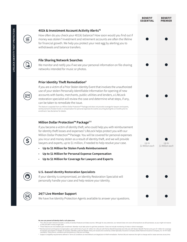|                                    |       |                                                                                                                                                                                                                                                                                                                                                                                                                                                                                                                                                                                                                                                                                                                            | <b>BENEFIT</b><br><b>ESSENTIAL</b> | <b>BENEFIT</b><br><b>PREMIER</b> |
|------------------------------------|-------|----------------------------------------------------------------------------------------------------------------------------------------------------------------------------------------------------------------------------------------------------------------------------------------------------------------------------------------------------------------------------------------------------------------------------------------------------------------------------------------------------------------------------------------------------------------------------------------------------------------------------------------------------------------------------------------------------------------------------|------------------------------------|----------------------------------|
| LIFELOCK IDENTITY THEFT PROTECTION | 'ılıl | 401k & Investment Account Activity Alerts <sup>t§</sup><br>How often do you check your 401(k) balance? How soon would you find out if<br>money was stolen? Investment and retirement accounts are often the lifeline<br>for financial growth. We help you protect your nest egg by alerting you to<br>withdrawals and balance transfers.                                                                                                                                                                                                                                                                                                                                                                                   |                                    |                                  |
|                                    |       | <b>File Sharing Network Searches</b><br>We monitor and notify you if we see your personal information on file-sharing<br>networks intended for music or photos.                                                                                                                                                                                                                                                                                                                                                                                                                                                                                                                                                            |                                    |                                  |
|                                    |       | Prior Identity Theft Remediation <sup>a</sup><br>If you are a victim of a Prior Stolen Identity Event that involves the unauthorized<br>use of your stolen Personally Identifiable Information for opening of new<br>accounts with banks, merchants, public utilities and lenders, a LifeLock<br>restoration specialist will review the case and determine what steps, if any,<br>can be taken to remediate the issue.<br>This feature is separate from our Million Dollar Protection™ Package and does not provide coverage for lawyers and experts,<br>reimbursement of stolen funds or compensation for personal expenses for events occurring during the 12 months prior to<br>enrollment. See disclaimer for details. |                                    |                                  |
|                                    |       | Million Dollar Protection™ Package <sup>†††</sup><br>If you became a victim of identity theft, who could help you with reimbursement<br>for identity theft losses and expenses? LifeLock helps protect you with our<br>Million Dollar Protection™ Package. You will be covered for personal expenses<br>you incur and money stolen as a result of identity theft, and we will provide<br>lawyers and experts, up to \$1 million, if needed to help resolve your case.<br>Up to \$1 Million for Stolen Funds Reimbursement<br>Up to \$1 Million for Personal Expense Compensation<br>Up to \$1 Million for Coverage for Lawyers and Experts                                                                                 | Up to<br>\$1 Million each          | Up to<br>\$1 Million each        |
|                                    |       | <b>U.S.-based Identity Restoration Specialists</b><br>If your identity is compromised, an Identity Restoration Specialist will<br>personally handle your case and help restore your identity.                                                                                                                                                                                                                                                                                                                                                                                                                                                                                                                              |                                    |                                  |
|                                    |       | 24/7 Live Member Support<br>We have live Identity Protection Agents available to answer your questions.                                                                                                                                                                                                                                                                                                                                                                                                                                                                                                                                                                                                                    |                                    |                                  |

**No one can prevent all identity theft or all cybercrime.**<br>† The LifeLock alert network includes a variety of product features and data sources. Although its very extensive, our network does not cover all transactions at a

§ These features are not enabled upon enrollment. Member must take action to get their protection. Does not include monitoring of chats or direct messages.

\*\*\* Reimbursement and Expense Compensation, each with limits of up to \$1 million for LifeLock with Norton Beneft Cremic Morton Benefit Premier and up to \$1 million for coverage<br>- for lawyers and experts if needed, for all

∂ Subject to eligibility requirements defined in Terms & Conditions at www.lifelock.com/legal/prior-id-theft-remediation. NortonLifeLock reserves the right to change and/or cease services at any time.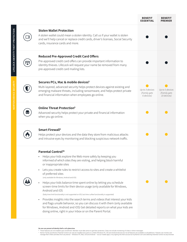|                                    |                                                                                                                                                                                                                                                                                                                                                                                                                                                                                                                                                                                                                                                                                                                                                                                                                                                                                                                                   | <b>BENEFIT</b><br><b>ESSENTIAL</b>            | <b>BENEFIT</b><br><b>PREMIER</b>               |
|------------------------------------|-----------------------------------------------------------------------------------------------------------------------------------------------------------------------------------------------------------------------------------------------------------------------------------------------------------------------------------------------------------------------------------------------------------------------------------------------------------------------------------------------------------------------------------------------------------------------------------------------------------------------------------------------------------------------------------------------------------------------------------------------------------------------------------------------------------------------------------------------------------------------------------------------------------------------------------|-----------------------------------------------|------------------------------------------------|
|                                    | <b>Stolen Wallet Protection</b><br>A stolen wallet could mean a stolen identity. Call us if your wallet is stolen<br>and we'll help cancel or replace credit cards, driver's licenses, Social Security<br>cards, insurance cards and more.                                                                                                                                                                                                                                                                                                                                                                                                                                                                                                                                                                                                                                                                                        |                                               |                                                |
| LIFELOCK IDENTITY THEFT PROTECTION | <b>Reduced Pre-Approved Credit Card Offers</b><br>Pre-approved credit card offers can provide important information to<br>identity thieves. LifeLock will request your name be removed from many<br>pre-approved credit card mailing lists.                                                                                                                                                                                                                                                                                                                                                                                                                                                                                                                                                                                                                                                                                       |                                               |                                                |
| <b>NORTON DEVICE SECURITY</b>      | Secures PCs, Mac & mobile devices <sup>§</sup><br>Multi-layered, advanced security helps protect devices against existing and<br>emerging malware threats, including ransomware, and helps protect private<br>and financial information when employees go online.                                                                                                                                                                                                                                                                                                                                                                                                                                                                                                                                                                                                                                                                 | Up to 3 devices<br>(Family gets<br>6 devices) | Up to 5 devices<br>(Family gets<br>10 devices) |
|                                    | Online Threat Protection <sup>§</sup><br>Advanced security helps protect your private and financial information<br>when you go online.                                                                                                                                                                                                                                                                                                                                                                                                                                                                                                                                                                                                                                                                                                                                                                                            |                                               |                                                |
|                                    | Smart Firewall <sup>§</sup><br>Helps protect your devices and the data they store from malicious attacks<br>and intrusive eyes by monitoring and blocking suspicious network traffic.                                                                                                                                                                                                                                                                                                                                                                                                                                                                                                                                                                                                                                                                                                                                             |                                               |                                                |
|                                    | Parental Control <sup>45</sup><br>Helps your kids explore the Web more safely by keeping you<br>informed of which sites they are visiting, and helping block harmful<br>or inappropriate sites<br>Lets you create rules to restrict access to sites and create a whitelist<br>of preferred sites<br>(only available for Windows, Android and iOS)<br>Helps your kids balance time spent online by letting you schedule<br>screen-time limits for their device usage (only available for Windows,<br>Android and iOS<br>(Daily time limit functionality is not supported on iOS, but time curfew functionality is supported)<br>Provides insights into the search terms and videos that interest your kids<br>and flags unsafe behavior, so you can discuss it with them (only available<br>for Windows, Android and iOS) Get detailed reports on what your kids are<br>doing online, right in your Inbox or on the Parent Portal. |                                               |                                                |

No one can prevent all identity theft or all cybercrime.

<sup>®</sup> These features are not enabled upon enrollment. Member must take action to get their protection. Does not include monitoring of chats or direct messages.<br>● Norton Family and Norton Parental Control can only be installed